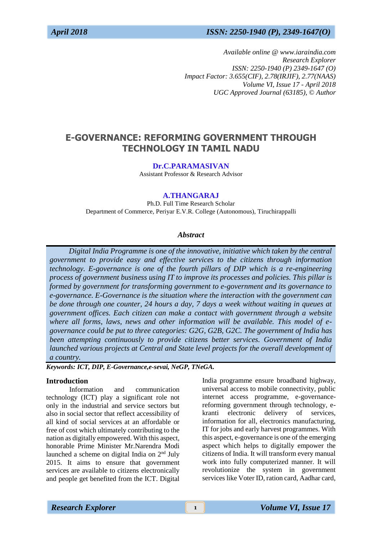# *April 2018 ISSN: 2250-1940 (P), 2349-1647(O)*

*Available online @ www.iaraindia.com Research Explorer ISSN: 2250-1940 (P) 2349-1647 (O) Impact Factor: 3.655(CIF), 2.78(IRJIF), 2.77(NAAS) Volume VI, Issue 17 - April 2018 UGC Approved Journal (63185),* © *Author*

# **E-GOVERNANCE: REFORMING GOVERNMENT THROUGH TECHNOLOGY IN TAMIL NADU**

#### **Dr.C.PARAMASIVAN**

Assistant Professor & Research Advisor

# **A.THANGARAJ**

Ph.D. Full Time Research Scholar Department of Commerce, Periyar E.V.R. College (Autonomous), Tiruchirappalli

### *Abstract*

 *Digital India Programme is one of the innovative, initiative which taken by the central government to provide easy and effective services to the citizens through information technology. E-governance is one of the fourth pillars of DIP which is a re-engineering process of government business using IT to improve its processes and policies. This pillar is formed by government for transforming government to e-government and its governance to e-governance. E-Governance is the situation where the interaction with the government can be done through one counter, 24 hours a day, 7 days a week without waiting in queues at government offices. Each citizen can make a contact with government through a website where all forms, laws, news and other information will be available. This model of egovernance could be put to three categories: G2G, G2B, G2C. The government of India has been attempting continuously to provide citizens better services. Government of India launched various projects at Central and State level projects for the overall development of a country.*

*Keywords: ICT, DIP, E-Governance,e-sevai, NeGP, TNeGA.*

#### **Introduction**

Information and communication technology (ICT) play a significant role not only in the industrial and service sectors but also in social sector that reflect accessibility of all kind of social services at an affordable or free of cost which ultimately contributing to the nation as digitally empowered. With this aspect, honorable Prime Minister Mr.Narendra Modi launched a scheme on digital India on 2nd July 2015. It aims to ensure that government services are available to citizens electronically and people get benefited from the ICT. Digital India programme ensure broadband highway, universal access to mobile connectivity, public internet access programme, e-governancereforming government through technology, ekranti electronic delivery of services, information for all, electronics manufacturing, IT for jobs and early harvest programmes. With this aspect, e-governance is one of the emerging aspect which helps to digitally empower the citizens of India. It will transform every manual work into fully computerized manner. It will revolutionize the system in government services like Voter ID, ration card, Aadhar card,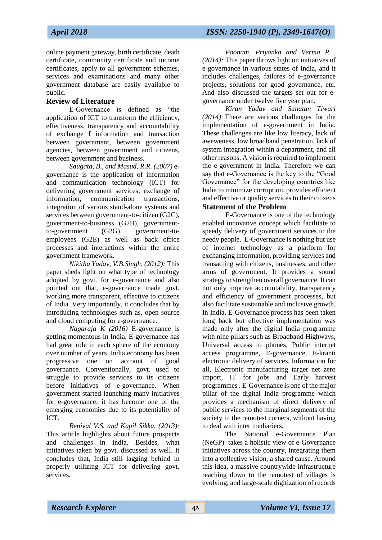online payment gateway, birth certificate, death certificate, community certificate and income certificates, apply to all government schemes, services and examinations and many other government database are easily available to public.

# **Review of Literature**

E-Governance is defined as "the application of ICT to transform the efficiency, effectiveness, transparency and accountability of exchange f information and transaction between government, between government agencies, between government and citizens, between government and business.

*Saugata, B., and Masud, R.R. (2007)* egovernance is the application of [information](https://en.wikipedia.org/wiki/Information_and_communication_technology)  [and communication technology](https://en.wikipedia.org/wiki/Information_and_communication_technology) (ICT) for delivering [government services,](https://en.wikipedia.org/wiki/Government_services) exchange of information, communication transactions, integration of various stand-alone systems and services between government-to-citizen (G2C), government-to-business (G2B), governmentto-government (G2G), government-toemployees (G2E) as well as [back office](https://en.wikipedia.org/wiki/Back_office) processes and interactions within the entire government framework.

*Nikitha Yadav, V.B.Singh, (2012):* This paper sheds light on what type of technology adopted by govt. for e-governance and also pointed out that, e-governance made govt. working more transparent, effective to citizens of India. Very importantly, it concludes that by introducing technologies such as, open source and cloud computing for e-governance.

*Nagaraja K (2016)* E-governance is getting momentous in India. E-governance has had great role in each sphere of the economy over number of years. India economy has been progressive one on account of good governance. Conventionally, govt. used to struggle to provide services to its citizens before initiatives of e-governance. When government started launching many initiatives for e-governance; it has become one of the emerging economies due to its potentiality of ICT.

*Benival V.S. and Kapil Sikka, (2013):* This article highlights about future prospects and challenges in India. Besides, what initiatives taken by govt. discussed as well. It concludes that, India still lagging behind in properly utilizing ICT for delivering govt. services.

*Poonam, Priyanka and Verma P , (2014):* This paper throws light on initiatives of e-governance in various states of India, and it includes challenges, failures of e-governance projects, solutions for good governance, etc. And also discussed the targets set out for egovernance under twelve five year plan.

*Kiran Yadav and Sanatan Tiwari (2014)* There are various challenges for the implementation of e-government in India. These challenges are like low literacy, lack of aweweness, low broadband penetration, lack of system integration within a department, and all other reasons. A vision is required to implement the e-government in India. Therefore we can say that e-Governance is the key to the "Good Governance" for the developing countries like India to minimize corruption, provides efficient and effective or quality services to their citizens

# **Statement of the Problem**

E-Governance is one of the technology enabled innovative concept which facilitate to speedy delivery of government services to the needy people. E-Governance is nothing but use of internet technology as a platform for exchanging information, providing services and transacting with citizens, businesses, and other arms of government. It provides a sound strategy to strengthen overall governance. It can not only improve accountability, transparency and efficiency of government processes, but also facilitate sustainable and inclusive growth. In India, E-Governance process has been taken long back but effective implementation was made only after the digital India programme with nine pillars such as Broadband Highways, Universal access to phones, Public internet access programme, E-governance, E-kranti electronic delivery of services, Information for all, Electronic manufacturing target net zero import, IT for jobs and Early harvest programmes . E-Governance is one of the major pillar of the digital India programme which provides a mechanism of direct delivery of public services to the marginal segments of the society in the remotest corners, without having to deal with inter mediariers.

[The National e-Governance Plan](http://negd.gov.in/)  [\(NeGP\)](http://negd.gov.in/) takes a holistic view of e-Governance initiatives across the country, integrating them into a collective vision, a shared cause. Around this idea, a massive countrywide infrastructure reaching down to the remotest of villages is evolving, and large-scale digitization of records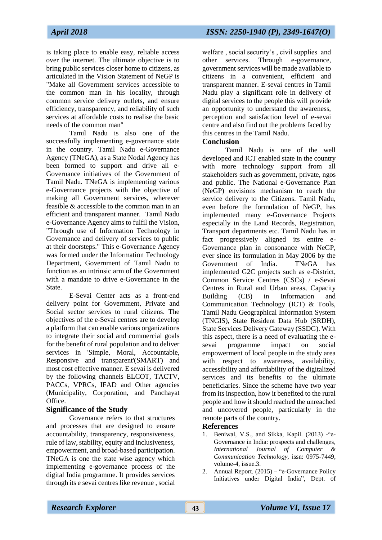is taking place to enable easy, reliable access over the internet. The ultimate objective is to bring public services closer home to citizens, as articulated in the Vision Statement of NeGP is "Make all Government services accessible to the common man in his locality, through common service delivery outlets, and ensure efficiency, transparency, and reliability of such services at affordable costs to realise the basic needs of the common man"

Tamil Nadu is also one of the successfully implementing e-governance state in the country. Tamil Nadu e-Governance Agency (TNeGA), as a State Nodal Agency has been formed to support and drive all e-Governance initiatives of the Government of Tamil Nadu. TNeGA is implementing various e-Governance projects with the objective of making all Government services, wherever feasible & accessible to the common man in an efficient and transparent manner. Tamil Nadu e-Governance Agency aims to fulfil the Vision, "Through use of Information Technology in Governance and delivery of services to public at their doorsteps." This e-Governance Agency was formed under the Information Technology Department, Government of Tamil Nadu to function as an intrinsic arm of the Government with a mandate to drive e-Governance in the **State** 

E-Sevai Center acts as a front-end delivery point for Government, Private and Social sector services to rural citizens. The objectives of the e-Sevai centres are to develop a platform that can enable various organizations to integrate their social and commercial goals for the benefit of rural population and to deliver services in 'Simple, Moral, Accountable, Responsive and transparent'(SMART) and most cost effective manner. E sevai is delivered by the following channels ELCOT, TACTV, PACCs, VPRCs, IFAD and Other agencies (Municipality, Corporation, and Panchayat Office.

# **Significance of the Study**

Governance refers to that structures and processes that are designed to ensure accountability, transparency, responsiveness, rule of law, stability, equity and inclusiveness, empowerment, and broad-based participation. TNeGA is one the state wise agency which implementing e-governance process of the digital India programme. It provides services through its e sevai centres like revenue , social welfare , social security's , civil supplies and other services. Through e-governance, government services will be made available to citizens in a convenient, efficient and transparent manner. E-sevai centres in Tamil Nadu play a significant role in delivery of digital services to the people this will provide an opportunity to understand the awareness, perception and satisfaction level of e-sevai centre and also find out the problems faced by this centres in the Tamil Nadu.

# **Conclusion**

Tamil Nadu is one of the well developed and ICT enabled state in the country with more technology support from all stakeholders such as government, private, ngos and public. The National e-Governance Plan (NeGP) envisions mechanism to reach the service delivery to the Citizens. Tamil Nadu, even before the formulation of NeGP, has implemented many e-Governance Projects especially in the Land Records, Registration, Transport departments etc. Tamil Nadu has in fact progressively aligned its entire e-Governance plan in consonance with NeGP, ever since its formulation in May 2006 by the Government of India. TNeGA has implemented G2C projects such as e-District, Common Service Centres (CSCs) / e-Sevai Centres in Rural and Urban areas, Capacity Building (CB) in Information and Communication Technology (ICT) & Tools, Tamil Nadu Geographical Information System (TNGIS), State Resident Data Hub (SRDH), State Services Delivery Gateway (SSDG). With this aspect, there is a need of evaluating the esevai programme impact on social empowerment of local people in the study area with respect to awareness, availability, accessibility and affordability of the digitalized services and its benefits to the ultimate beneficiaries. Since the scheme have two year from its inspection, how it benefited to the rural people and how it should reached the unreached and uncovered people, particularly in the remote parts of the country.

# **References**

- 1. Beniwal, V.S., and Sikka, Kapil. (2013) -"e-Governance in India: prospects and challenges*, International Journal of Computer & Communication Technology,* issn: 0975-7449, volume-4, issue.3.
- 2. Annual Report. (2015) "e-Governance Policy Initiatives under Digital India", Dept. of